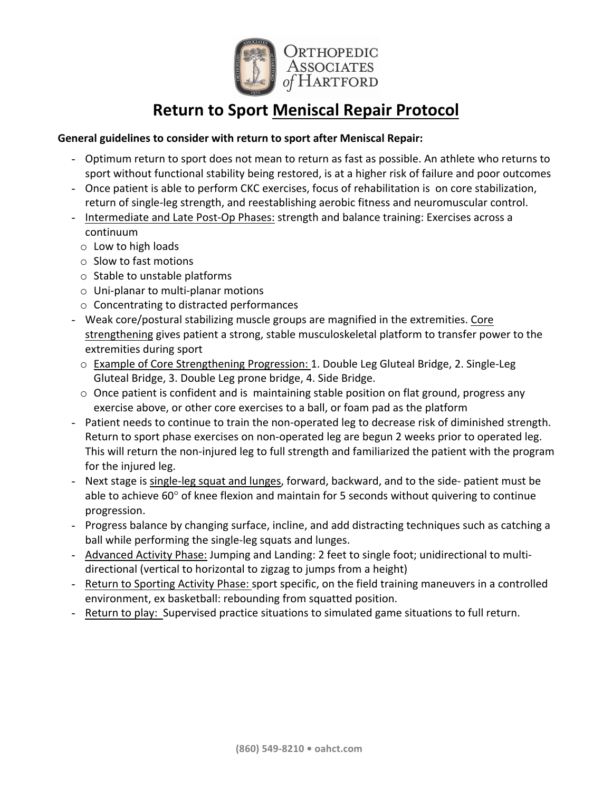

# **Return to Sport Meniscal Repair Protocol**

## General guidelines to consider with return to sport after Meniscal Repair:

- Optimum return to sport does not mean to return as fast as possible. An athlete who returns to sport without functional stability being restored, is at a higher risk of failure and poor outcomes
- Once patient is able to perform CKC exercises, focus of rehabilitation is on core stabilization, return of single-leg strength, and reestablishing aerobic fitness and neuromuscular control.
- Intermediate and Late Post-Op Phases: strength and balance training: Exercises across a continuum
	- $\circ$  Low to high loads
	- $\circ$  Slow to fast motions
	- $\circ$  Stable to unstable platforms
	- $\circ$  Uni-planar to multi-planar motions
	- $\circ$  Concentrating to distracted performances
- Weak core/postural stabilizing muscle groups are magnified in the extremities. Core strengthening gives patient a strong, stable musculoskeletal platform to transfer power to the extremities during sport
	- $\circ$  Example of Core Strengthening Progression: 1. Double Leg Gluteal Bridge, 2. Single-Leg Gluteal Bridge, 3. Double Leg prone bridge, 4. Side Bridge.
	- $\circ$  Once patient is confident and is maintaining stable position on flat ground, progress any exercise above, or other core exercises to a ball, or foam pad as the platform
- Patient needs to continue to train the non-operated leg to decrease risk of diminished strength. Return to sport phase exercises on non-operated leg are begun 2 weeks prior to operated leg. This will return the non-injured leg to full strength and familiarized the patient with the program for the injured leg.
- Next stage is single-leg squat and lunges, forward, backward, and to the side- patient must be able to achieve  $60^{\circ}$  of knee flexion and maintain for 5 seconds without quivering to continue progression.
- Progress balance by changing surface, incline, and add distracting techniques such as catching a ball while performing the single-leg squats and lunges.
- Advanced Activity Phase: Jumping and Landing: 2 feet to single foot; unidirectional to multidirectional (vertical to horizontal to zigzag to jumps from a height)
- Return to Sporting Activity Phase: sport specific, on the field training maneuvers in a controlled environment, ex basketball: rebounding from squatted position.
- Return to play: Supervised practice situations to simulated game situations to full return.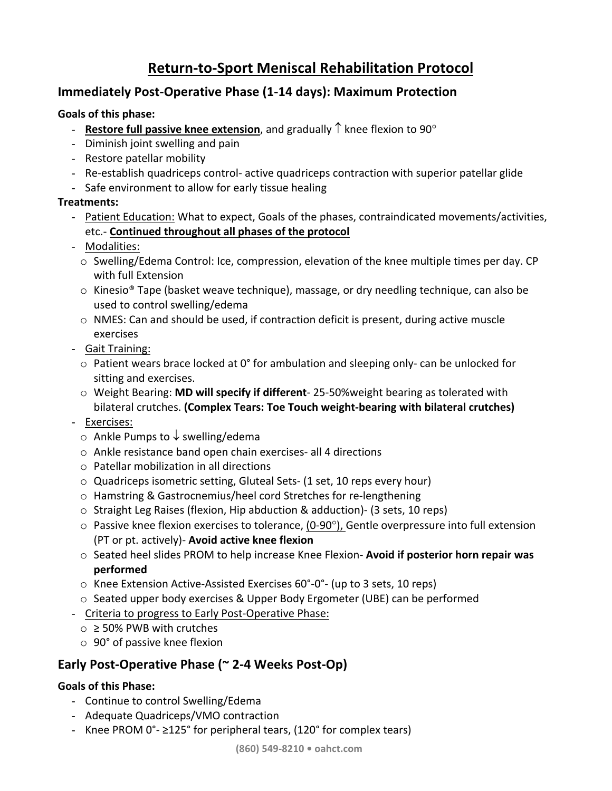# **Return-to-Sport Meniscal Rehabilitation Protocol**

# **Immediately Post-Operative Phase (1-14 days): Maximum Protection**

## **Goals of this phase:**

- **Restore full passive knee extension**, and gradually  $\uparrow$  knee flexion to 90 $^{\circ}$
- Diminish joint swelling and pain
- Restore patellar mobility
- Re-establish quadriceps control- active quadriceps contraction with superior patellar glide
- Safe environment to allow for early tissue healing

## **Treatments:**

- Patient Education: What to expect, Goals of the phases, contraindicated movements/activities, etc.- **Continued throughout all phases of the protocol**
- Modalities:
	- $\circ$  Swelling/Edema Control: Ice, compression, elevation of the knee multiple times per day. CP with full Extension
	- $\circ$  Kinesio<sup>®</sup> Tape (basket weave technique), massage, or dry needling technique, can also be used to control swelling/edema
	- $\circ$  NMES: Can and should be used, if contraction deficit is present, during active muscle exercises
- Gait Training:
	- $\circ$  Patient wears brace locked at 0° for ambulation and sleeping only- can be unlocked for sitting and exercises.
	- $\circ$  Weight Bearing: **MD will specify if different** 25-50% weight bearing as tolerated with bilateral crutches. (Complex Tears: Toe Touch weight-bearing with bilateral crutches)
- Exercises:
	- $\circ$  Ankle Pumps to  $\downarrow$  swelling/edema
	- $\circ$  Ankle resistance band open chain exercises- all 4 directions
	- $\circ$  Patellar mobilization in all directions
	- $\circ$  Quadriceps isometric setting, Gluteal Sets- (1 set, 10 reps every hour)
	- $\circ$  Hamstring & Gastrocnemius/heel cord Stretches for re-lengthening
	- $\circ$  Straight Leg Raises (flexion, Hip abduction & adduction)- (3 sets, 10 reps)
	- $\circ$  Passive knee flexion exercises to tolerance, (0-90 $\circ$ ), Gentle overpressure into full extension (PT or pt. actively)- **Avoid active knee flexion**
	- o Seated heel slides PROM to help increase Knee Flexion- Avoid if posterior horn repair was **performed**
	- $\circ$  Knee Extension Active-Assisted Exercises 60°-0°- (up to 3 sets, 10 reps)
	- $\circ$  Seated upper body exercises & Upper Body Ergometer (UBE) can be performed
- Criteria to progress to Early Post-Operative Phase:
	- $\circ$  ≥ 50% PWB with crutches
	- $\circ$  90° of passive knee flexion

# Early Post-Operative Phase (~ 2-4 Weeks Post-Op)

## **Goals of this Phase:**

- Continue to control Swelling/Edema
- Adequate Quadriceps/VMO contraction
- Knee PROM  $0^\circ$   $\geq$ 125° for peripheral tears, (120° for complex tears)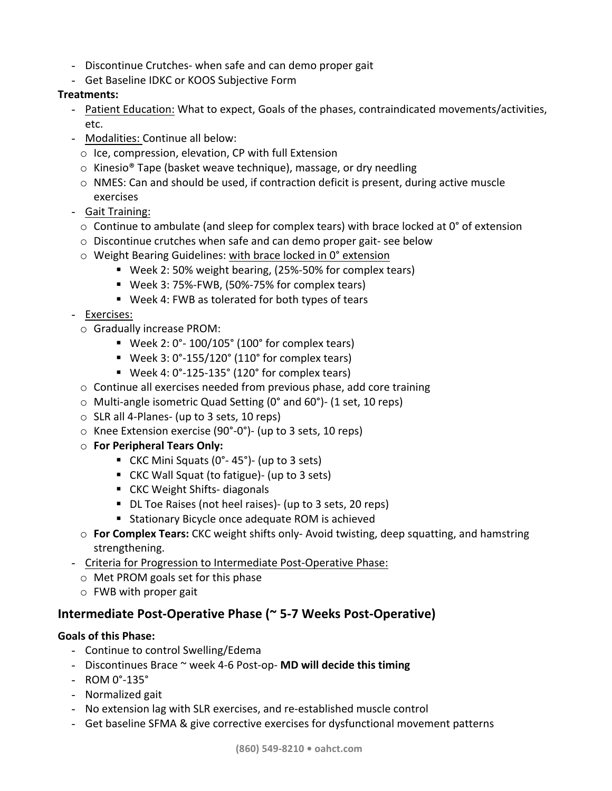- Discontinue Crutches- when safe and can demo proper gait
- Get Baseline IDKC or KOOS Subjective Form

# **Treatments:**

- Patient Education: What to expect, Goals of the phases, contraindicated movements/activities, etc.
- Modalities: Continue all below:
	- $\circ$  Ice, compression, elevation, CP with full Extension
	- $\circ$  Kinesio<sup>®</sup> Tape (basket weave technique), massage, or dry needling
	- $\circ$  NMES: Can and should be used, if contraction deficit is present, during active muscle exercises
- Gait Training:
	- $\circ$  Continue to ambulate (and sleep for complex tears) with brace locked at 0° of extension
	- $\circ$  Discontinue crutches when safe and can demo proper gait- see below
	- $\circ$  Weight Bearing Guidelines: with brace locked in 0° extension
		- Week 2: 50% weight bearing, (25%-50% for complex tears)
		- Week 3: 75%-FWB, (50%-75% for complex tears)
		- Week 4: FWB as tolerated for both types of tears
- Exercises:
	- $\circ$  Gradually increase PROM:
		- Week 2:  $0^\circ$  100/105 $^\circ$  (100 $^\circ$  for complex tears)
		- Week 3:  $0^\circ$ -155/120 $^\circ$  (110 $^\circ$  for complex tears)
		- Week 4:  $0^\circ$ -125-135° (120° for complex tears)
	- $\circ$  Continue all exercises needed from previous phase, add core training
	- $\circ$  Multi-angle isometric Quad Setting (0° and 60°)- (1 set, 10 reps)
	- $\circ$  SLR all 4-Planes- (up to 3 sets, 10 reps)
	- $\circ$  Knee Extension exercise (90°-0°)- (up to 3 sets, 10 reps)
	- o **For Peripheral Tears Only:**
		- CKC Mini Squats  $(0^\circ 45^\circ)$  (up to 3 sets)
		- CKC Wall Squat (to fatigue)- (up to 3 sets)
		- CKC Weight Shifts- diagonals
		- DL Toe Raises (not heel raises)- (up to 3 sets, 20 reps)
		- Stationary Bicycle once adequate ROM is achieved
	- o **For Complex Tears:** CKC weight shifts only- Avoid twisting, deep squatting, and hamstring strengthening.
- Criteria for Progression to Intermediate Post-Operative Phase:
	- $\circ$  Met PROM goals set for this phase
	- $\circ$  FWB with proper gait

# **Intermediate Post-Operative Phase (~ 5-7 Weeks Post-Operative)**

## **Goals of this Phase:**

- Continue to control Swelling/Edema
- Discontinues Brace  $\sim$  week 4-6 Post-op- **MD will decide this timing**
- ROM 0°-135°
- Normalized gait
- No extension lag with SLR exercises, and re-established muscle control
- Get baseline SFMA & give corrective exercises for dysfunctional movement patterns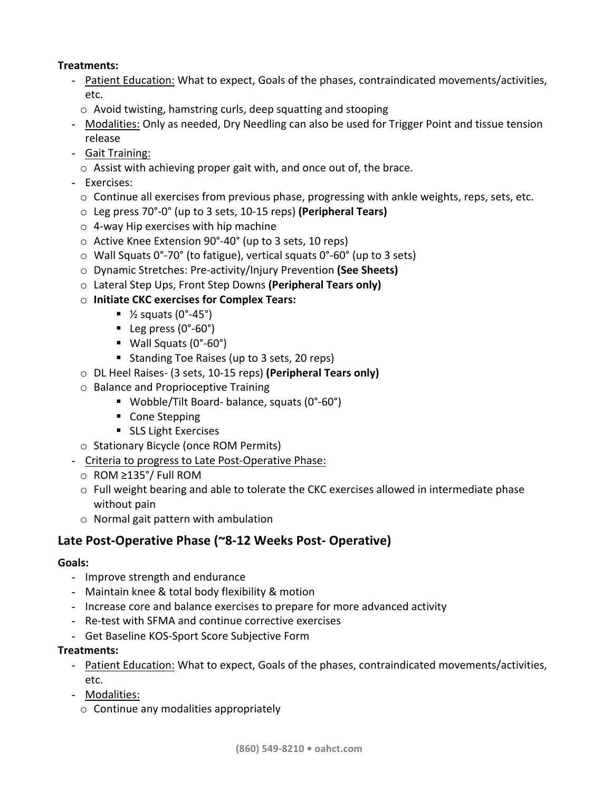## **Treatments:**

- Patient Education: What to expect, Goals of the phases, contraindicated movements/activities, etc.
	- $\circ$  Avoid twisting, hamstring curls, deep squatting and stooping
- Modalities: Only as needed, Dry Needling can also be used for Trigger Point and tissue tension release
- Gait Training:
	- $\circ$  Assist with achieving proper gait with, and once out of, the brace.
- Exercises:
	- $\circ$  Continue all exercises from previous phase, progressing with ankle weights, reps, sets, etc.
	- o Leg press 70°-0° (up to 3 sets, 10-15 reps) **(Peripheral Tears)**
	- $\circ$  4-way Hip exercises with hip machine
	- $\circ$  Active Knee Extension 90°-40° (up to 3 sets, 10 reps)
	- $\circ$  Wall Squats 0°-70° (to fatigue), vertical squats 0°-60° (up to 3 sets)
	- o Dynamic Stretches: Pre-activity/Injury Prevention **(See Sheets)**
	- o Lateral Step Ups, Front Step Downs **(Peripheral Tears only)**
	- o **Initiate CKC exercises for Complex Tears:**
		- $\frac{1}{2}$  squats (0°-45°)
		- Leg press  $(0°-60°)$
		- $\blacksquare$  Wall Squats (0°-60°)
		- Standing Toe Raises (up to 3 sets, 20 reps)
	- o DL Heel Raises- (3 sets, 10-15 reps) **(Peripheral Tears only)**
	- $\circ$  Balance and Proprioceptive Training
		- Wobble/Tilt Board- balance, squats (0°-60°)
		- Cone Stepping
		- SLS Light Exercises
	- o Stationary Bicycle (once ROM Permits)
- Criteria to progress to Late Post-Operative Phase:
	- o ROM ≥135°/ Full ROM
	- $\circ$  Full weight bearing and able to tolerate the CKC exercises allowed in intermediate phase without pain
	- $\circ$  Normal gait pattern with ambulation

# Late Post-Operative Phase (~8-12 Weeks Post- Operative)

### **Goals:**

- Improve strength and endurance
- Maintain knee & total body flexibility & motion
- Increase core and balance exercises to prepare for more advanced activity
- Re-test with SFMA and continue corrective exercises
- Get Baseline KOS-Sport Score Subjective Form

### **Treatments:**

- Patient Education: What to expect, Goals of the phases, contraindicated movements/activities, etc.
- Modalities:
	- $\circ$  Continue any modalities appropriately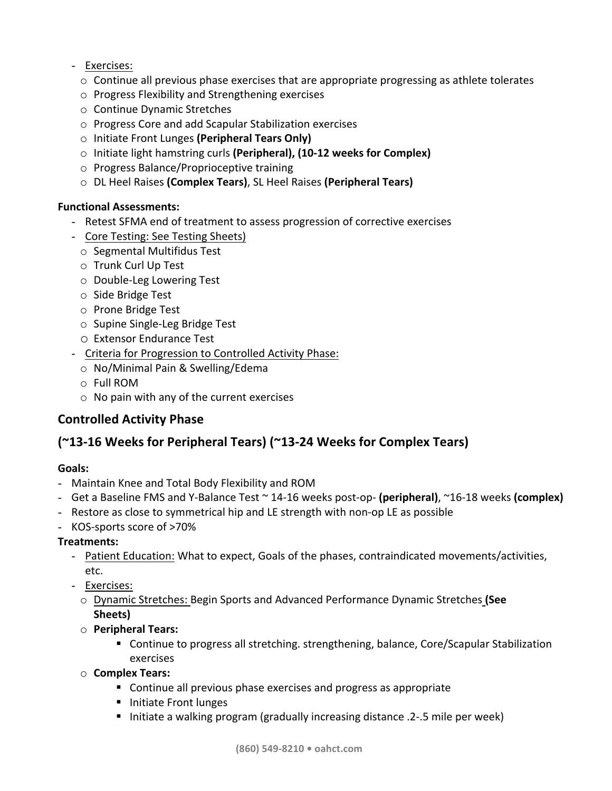# - Exercises:

- $\circ$  Continue all previous phase exercises that are appropriate progressing as athlete tolerates
- $\circ$  Progress Flexibility and Strengthening exercises
- o Continue Dynamic Stretches
- $\circ$  Progress Core and add Scapular Stabilization exercises
- o Initiate Front Lunges **(Peripheral Tears Only)**
- o Initiate light hamstring curls (Peripheral), (10-12 weeks for Complex)
- $\circ$  Progress Balance/Proprioceptive training
- o DL Heel Raises **(Complex Tears)**, SL Heel Raises **(Peripheral Tears)**

## **Functional Assessments:**

- Retest SFMA end of treatment to assess progression of corrective exercises
- Core Testing: See Testing Sheets)
	- $\circ$  Segmental Multifidus Test
	- o Trunk Curl Up Test
	- o Double-Leg Lowering Test
	- $\circ$  Side Bridge Test
	- o Prone Bridge Test
	- o Supine Single-Leg Bridge Test
	- o Extensor Endurance Test
- Criteria for Progression to Controlled Activity Phase:
	- $\circ$  No/Minimal Pain & Swelling/Edema
	- $\circ$  Full ROM
	- $\circ$  No pain with any of the current exercises

# **Controlled Activity Phase**

# **(~13-16 Weeks for Peripheral Tears) (~13-24 Weeks for Complex Tears)**

### **Goals:**

- Maintain Knee and Total Body Flexibility and ROM
- Get a Baseline FMS and Y-Balance Test  $\sim$  14-16 weeks post-op- (peripheral),  $\sim$ 16-18 weeks (complex)
- Restore as close to symmetrical hip and LE strength with non-op LE as possible
- KOS-sports score of >70%

## **Treatments:**

- Patient Education: What to expect, Goals of the phases, contraindicated movements/activities, etc.
- Exercises:
	- o Dynamic Stretches: Begin Sports and Advanced Performance Dynamic Stretches **(See Sheets)**
	- o **Peripheral Tears:**
		- Continue to progress all stretching. strengthening, balance, Core/Scapular Stabilization exercises
	- o **Complex Tears:**
		- Continue all previous phase exercises and progress as appropriate
		- Initiate Front lunges
		- Initiate a walking program (gradually increasing distance .2-.5 mile per week)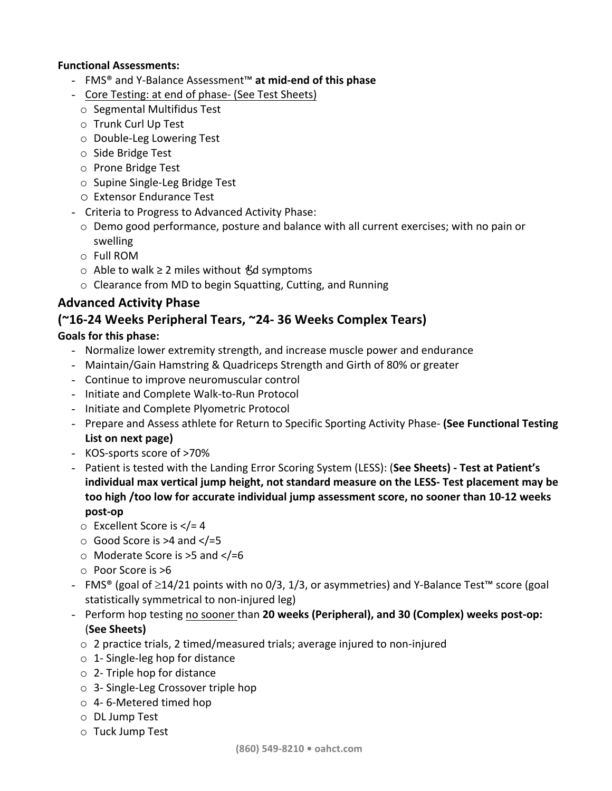## **Functional Assessments:**

- FMS® and Y-Balance Assessment™ **at mid-end of this phase**
- Core Testing: at end of phase- (See Test Sheets)
	- $\circ$  Segmental Multifidus Test
	- o Trunk Curl Up Test
	- $\circ$  Double-Leg Lowering Test
	- o Side Bridge Test
	- o Prone Bridge Test
	- $\circ$  Supine Single-Leg Bridge Test
	- o Extensor Endurance Test
- Criteria to Progress to Advanced Activity Phase:
	- $\circ$  Demo good performance, posture and balance with all current exercises; with no pain or swelling
	- $\circ$  Full ROM
	- o Able to walk ≥ 2 miles without *K*d symptoms
	- $\circ$  Clearance from MD to begin Squatting, Cutting, and Running

# **Advanced Activity Phase**

# **(~16-24 Weeks Peripheral Tears, ~24- 36 Weeks Complex Tears)**

## Goals for this phase:

- Normalize lower extremity strength, and increase muscle power and endurance
- Maintain/Gain Hamstring & Quadriceps Strength and Girth of 80% or greater
- Continue to improve neuromuscular control
- Initiate and Complete Walk-to-Run Protocol
- Initiate and Complete Plyometric Protocol
- Prepare and Assess athlete for Return to Specific Sporting Activity Phase- (See Functional Testing **List on next page)**
- KOS-sports score of >70%
- Patient is tested with the Landing Error Scoring System (LESS): (See Sheets) Test at Patient's **individual max vertical jump height, not standard measure on the LESS- Test placement may be** too high /too low for accurate individual jump assessment score, no sooner than 10-12 weeks **post-op**
	- $\circ$  Excellent Score is  $\lt/=$  4
	- $\circ$  Good Score is >4 and  $\lt$ /=5
	- $\circ$  Moderate Score is >5 and </=6
	- $\circ$  Poor Score is  $>6$
- FMS<sup>®</sup> (goal of ≥14/21 points with no 0/3, 1/3, or asymmetries) and Y-Balance Test™ score (goal statistically symmetrical to non-injured leg)
- Perform hop testing no sooner than 20 weeks (Peripheral), and 30 (Complex) weeks post-op: (**See Sheets)**
	- $\circ$  2 practice trials, 2 timed/measured trials; average injured to non-injured
	- $\circ$  1- Single-leg hop for distance
	- $\circ$  2- Triple hop for distance
	- $\circ$  3- Single-Leg Crossover triple hop
	- $\circ$  4-6-Metered timed hop
	- $\circ$  DL Jump Test
	- $\circ$  Tuck Jump Test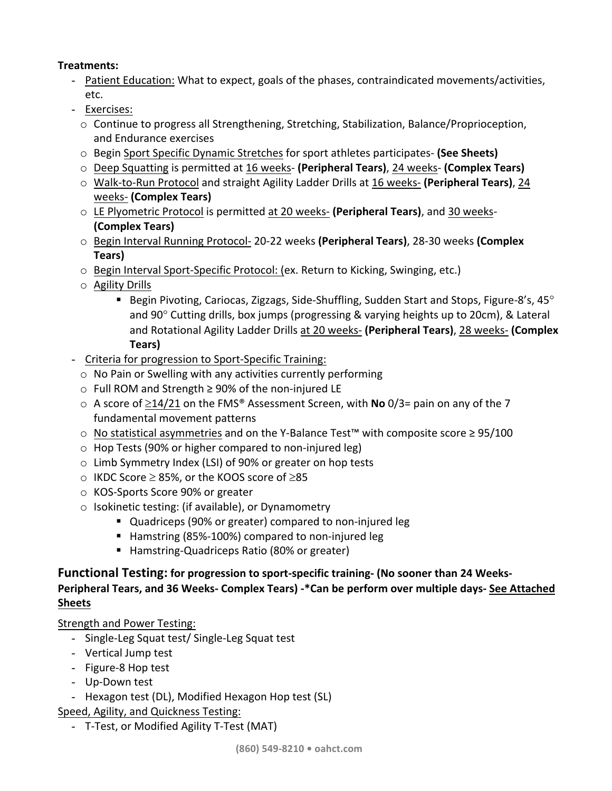# **Treatments:**

- Patient Education: What to expect, goals of the phases, contraindicated movements/activities, etc.
- Exercises:
	- $\circ$  Continue to progress all Strengthening, Stretching, Stabilization, Balance/Proprioception, and Endurance exercises
	- o Begin Sport Specific Dynamic Stretches for sport athletes participates- **(See Sheets)**
	- o Deep Squatting is permitted at 16 weeks- **(Peripheral Tears)**, 24 weeks- **(Complex Tears)**
	- o Walk-to-Run Protocol and straight Agility Ladder Drills at 16 weeks- (Peripheral Tears), 24 weeks- **(Complex Tears)**
	- o LE Plyometric Protocol is permitted at 20 weeks- **(Peripheral Tears)**, and 30 weeks-**(Complex Tears)**
	- o Begin Interval Running Protocol- 20-22 weeks (Peripheral Tears), 28-30 weeks (Complex **Tears)**
	- $\circ$  Begin Interval Sport-Specific Protocol: (ex. Return to Kicking, Swinging, etc.)
	- $\circ$  Agility Drills
		- **■** Begin Pivoting, Cariocas, Zigzags, Side-Shuffling, Sudden Start and Stops, Figure-8's, 45 $^{\circ}$ and  $90^\circ$  Cutting drills, box jumps (progressing & varying heights up to 20cm), & Lateral and Rotational Agility Ladder Drills at 20 weeks- (Peripheral Tears), 28 weeks- (Complex **Tears)**
- Criteria for progression to Sport-Specific Training:
	- $\circ$  No Pain or Swelling with any activities currently performing
	- o Full ROM and Strength ≥ 90% of the non-injured LE
	- $\circ$  A score of  $\geq$ 14/21 on the FMS<sup>®</sup> Assessment Screen, with **No** 0/3= pain on any of the 7 fundamental movement patterns
	- o No statistical asymmetries and on the Y-Balance Test™ with composite score ≥ 95/100
	- $\circ$  Hop Tests (90% or higher compared to non-injured leg)
	- $\circ$  Limb Symmetry Index (LSI) of 90% or greater on hop tests
	- $\circ$  IKDC Score  $\geq$  85%, or the KOOS score of  $\geq$ 85
	- KOS-Sports Score 90% or greater
	- $\circ$  Isokinetic testing: (if available), or Dynamometry
		- Quadriceps (90% or greater) compared to non-injured leg
		- Hamstring (85%-100%) compared to non-injured leg
		- Hamstring-Quadriceps Ratio (80% or greater)

# Functional Testing: for progression to sport-specific training- (No sooner than 24 Weeks-

# **Peripheral Tears, and 36 Weeks- Complex Tears) -\*Can be perform over multiple days- See Attached Sheets**

Strength and Power Testing:

- Single-Leg Squat test/ Single-Leg Squat test
- Vertical Jump test
- Figure-8 Hop test
- Up-Down test
- Hexagon test (DL), Modified Hexagon Hop test (SL)

Speed, Agility, and Quickness Testing:

- T-Test, or Modified Agility T-Test (MAT)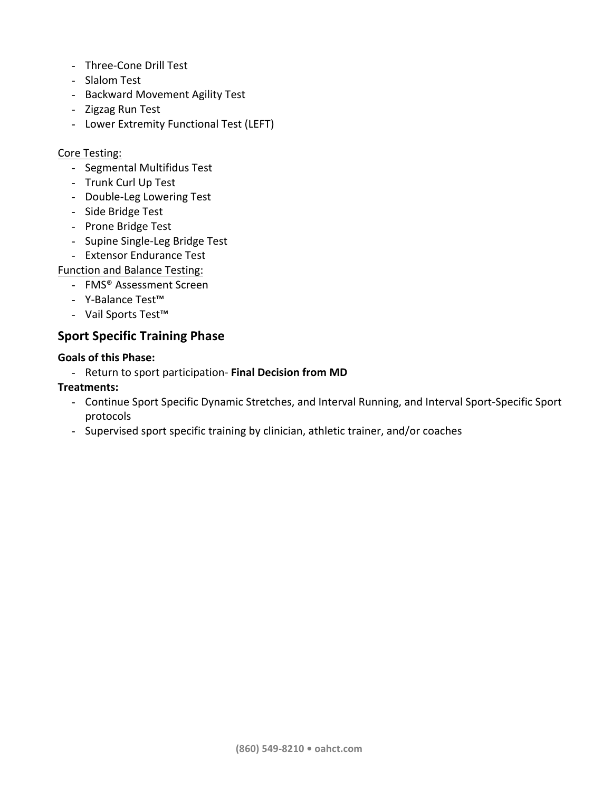- Three-Cone Drill Test
- Slalom Test
- Backward Movement Agility Test
- Zigzag Run Test
- Lower Extremity Functional Test (LEFT)

### Core Testing:

- Segmental Multifidus Test
- Trunk Curl Up Test
- Double-Leg Lowering Test
- Side Bridge Test
- Prone Bridge Test
- Supine Single-Leg Bridge Test
- Extensor Endurance Test

### Function and Balance Testing:

- FMS® Assessment Screen
- Y-Balance Test™
- Vail Sports Test™

# **Sport Specific Training Phase**

### **Goals of this Phase:**

- Return to sport participation- Final Decision from MD

### **Treatments:**

- Continue Sport Specific Dynamic Stretches, and Interval Running, and Interval Sport-Specific Sport protocols
- Supervised sport specific training by clinician, athletic trainer, and/or coaches